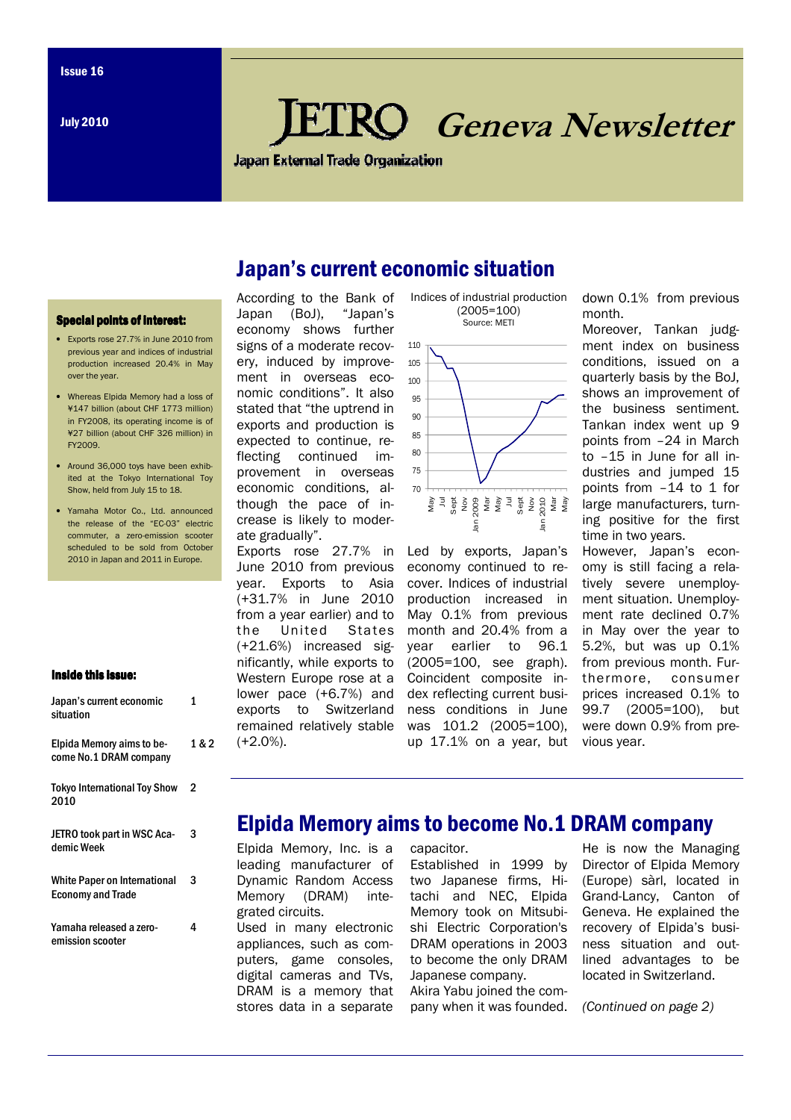July 2010

# Geneva Newsletter

**Japan External Trade Organization** 

## Japan's current economic situation

#### Special points of interest:

- Exports rose 27.7% in June 2010 from previous year and indices of industrial production increased 20.4% in May over the year.
- Whereas Elpida Memory had a loss of ¥147 billion (about CHF 1773 million) in FY2008, its operating income is of ¥27 billion (about CHF 326 million) in FY2009.
- Around 36,000 toys have been exhibited at the Tokyo International Toy Show, held from July 15 to 18.
- Yamaha Motor Co., Ltd. announced the release of the "EC-03" electric commuter, a zero-emission scooter scheduled to be sold from October 2010 in Japan and 2011 in Europe.

#### Inside this issue:

| Japan's current economic<br>situation                           | 1   |
|-----------------------------------------------------------------|-----|
| Elpida Memory aims to be-<br>come No.1 DRAM company             | 1 ጼ |
| <b>Tokyo International Toy Show</b><br>2010                     | 2   |
| <b>JETRO took part in WSC Aca-</b><br>demic Week                | 3   |
| <b>White Paper on International</b><br><b>Economy and Trade</b> | 3   |
| Yamaha released a zero-<br>emission scooter                     | 4   |

 $\mathbf{a}$ 

According to the Bank of Japan (BoJ), "Japan's economy shows further signs of a moderate recovery, induced by improvement in overseas economic conditions". It also stated that "the uptrend in exports and production is expected to continue, reflecting continued improvement in overseas economic conditions, although the pace of increase is likely to moderate gradually".

Exports rose 27.7% in June 2010 from previous year. Exports to Asia (+31.7% in June 2010 from a year earlier) and to the United States (+21.6%) increased significantly, while exports to Western Europe rose at a lower pace (+6.7%) and exports to Switzerland remained relatively stable (+2.0%).





Led by exports, Japan's economy continued to recover. Indices of industrial production increased in May 0.1% from previous month and 20.4% from a year earlier to 96.1 (2005=100, see graph). Coincident composite index reflecting current business conditions in June was 101.2 (2005=100), up 17.1% on a year, but down 0.1% from previous month.

Moreover, Tankan judgment index on business conditions, issued on a quarterly basis by the BoJ, shows an improvement of the business sentiment. Tankan index went up 9 points from –24 in March to –15 in June for all industries and jumped 15 points from –14 to 1 for large manufacturers, turning positive for the first time in two years. However, Japan's economy is still facing a relatively severe unemployment situation. Unemployment rate declined 0.7% in May over the year to 5.2%, but was up 0.1% from previous month. Fur-

thermore, consumer prices increased 0.1% to 99.7 (2005=100), but were down 0.9% from previous year.

### Elpida Memory aims to become No.1 DRAM company

Elpida Memory, Inc. is a leading manufacturer of Dynamic Random Access Memory (DRAM) integrated circuits.

Used in many electronic appliances, such as computers, game consoles, digital cameras and TVs, DRAM is a memory that stores data in a separate

capacitor. Established in 1999 by two Japanese firms, Hitachi and NEC, Elpida Memory took on Mitsubishi Electric Corporation's DRAM operations in 2003 to become the only DRAM Japanese company.

Akira Yabu joined the company when it was founded. He is now the Managing Director of Elpida Memory (Europe) sàrl, located in Grand-Lancy, Canton of Geneva. He explained the recovery of Elpida's business situation and outlined advantages to be located in Switzerland.

(Continued on page 2)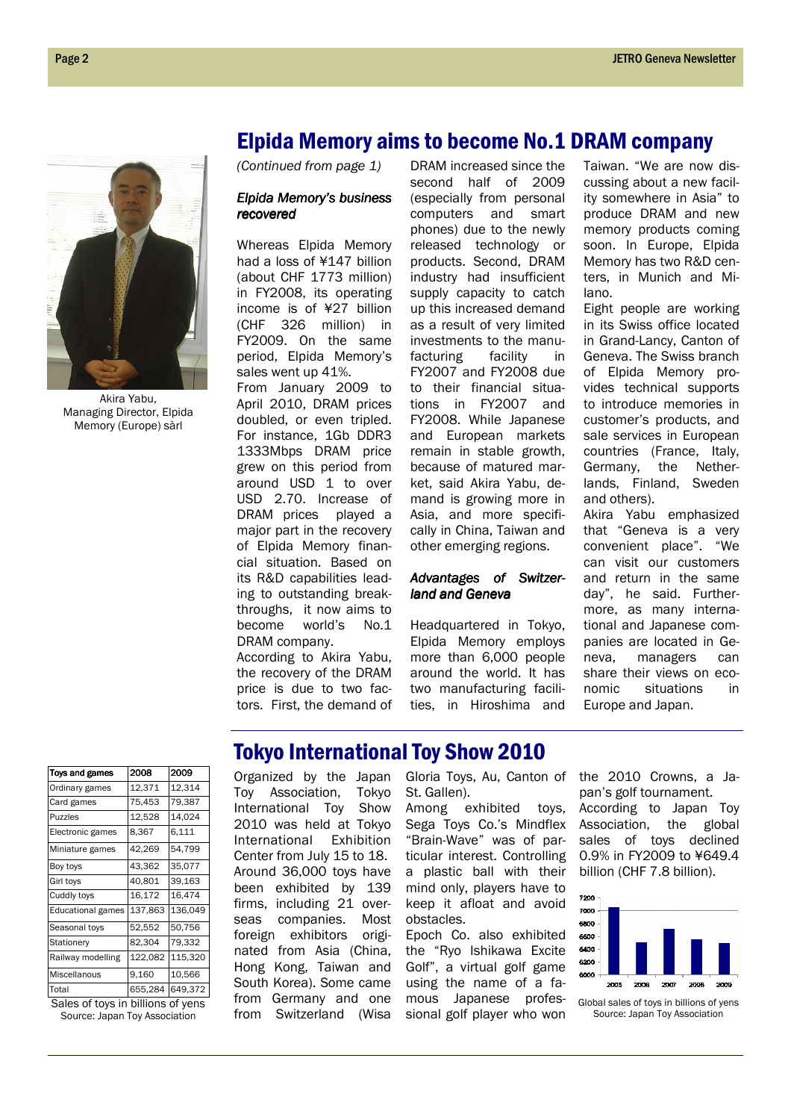

Akira Yabu, Managing Director, Elpida Memory (Europe) sàrl

### Elpida Memory aims to become No.1 DRAM company

(Continued from page 1)

#### Elpida Memory's business recovered recovered

Whereas Elpida Memory had a loss of ¥147 billion (about CHF 1773 million) in FY2008, its operating income is of ¥27 billion (CHF 326 million) in FY2009. On the same period, Elpida Memory's sales went up 41%.

From January 2009 to April 2010, DRAM prices doubled, or even tripled. For instance, 1Gb DDR3 1333Mbps DRAM price grew on this period from around USD 1 to over USD 2.70. Increase of DRAM prices played a major part in the recovery of Elpida Memory financial situation. Based on its R&D capabilities leading to outstanding breakthroughs, it now aims to become world's No.1 DRAM company.

According to Akira Yabu, the recovery of the DRAM price is due to two factors. First, the demand of

DRAM increased since the second half of 2009 (especially from personal computers and smart phones) due to the newly released technology or products. Second, DRAM industry had insufficient supply capacity to catch up this increased demand as a result of very limited investments to the manufacturing facility in FY2007 and FY2008 due to their financial situations in FY2007 and FY2008. While Japanese and European markets remain in stable growth, because of matured market, said Akira Yabu, demand is growing more in Asia, and more specifically in China, Taiwan and other emerging regions.

#### Advantages of Switzerland and Geneva

Headquartered in Tokyo, Elpida Memory employs more than 6,000 people around the world. It has two manufacturing facilities, in Hiroshima and Taiwan. "We are now discussing about a new facility somewhere in Asia" to produce DRAM and new memory products coming soon. In Europe, Elpida Memory has two R&D centers, in Munich and Milano.

Eight people are working in its Swiss office located in Grand-Lancy, Canton of Geneva. The Swiss branch of Elpida Memory provides technical supports to introduce memories in customer's products, and sale services in European countries (France, Italy, Germany, the Netherlands, Finland, Sweden and others).

Akira Yabu emphasized that "Geneva is a very convenient place". "We can visit our customers and return in the same day", he said. Furthermore, as many international and Japanese companies are located in Geneva, managers can share their views on economic situations in Europe and Japan.

| Toys and games           | 2008    | 2009    |
|--------------------------|---------|---------|
| Ordinary games           | 12,371  | 12,314  |
| Card games               | 75,453  | 79,387  |
| <b>Puzzles</b>           | 12,528  | 14,024  |
| Electronic games         | 8.367   | 6,111   |
| Miniature games          | 42,269  | 54,799  |
| Boy toys                 | 43,362  | 35,077  |
| Girl toys                | 40,801  | 39,163  |
| Cuddly toys              | 16,172  | 16,474  |
| <b>Educational games</b> | 137,863 | 136,049 |
| Seasonal toys            | 52,552  | 50,756  |
| Stationery               | 82,304  | 79,332  |
| Railway modelling        | 122,082 | 115.320 |
| Miscellanous             | 9,160   | 10,566  |
| Total                    | 655,284 | 649,372 |

Sales of toys in billions of yens Source: Japan Toy Association

### Tokyo International Toy Show 2010

Organized by the Japan Toy Association, Tokyo International Toy Show 2010 was held at Tokyo International Exhibition Center from July 15 to 18. Around 36,000 toys have been exhibited by 139 firms, including 21 overseas companies. Most foreign exhibitors originated from Asia (China, Hong Kong, Taiwan and South Korea). Some came from Germany and one from Switzerland (Wisa

Gloria Toys, Au, Canton of St. Gallen).

Among exhibited toys, Sega Toys Co.'s Mindflex "Brain-Wave" was of particular interest. Controlling a plastic ball with their mind only, players have to keep it afloat and avoid obstacles.

Epoch Co. also exhibited the "Ryo Ishikawa Excite Golf", a virtual golf game using the name of a famous Japanese professional golf player who won

the 2010 Crowns, a Japan's golf tournament. According to Japan Toy Association, the global sales of toys declined 0.9% in FY2009 to ¥649.4 billion (CHF 7.8 billion).



Global sales of toys in billions of yens Source: Japan Toy Association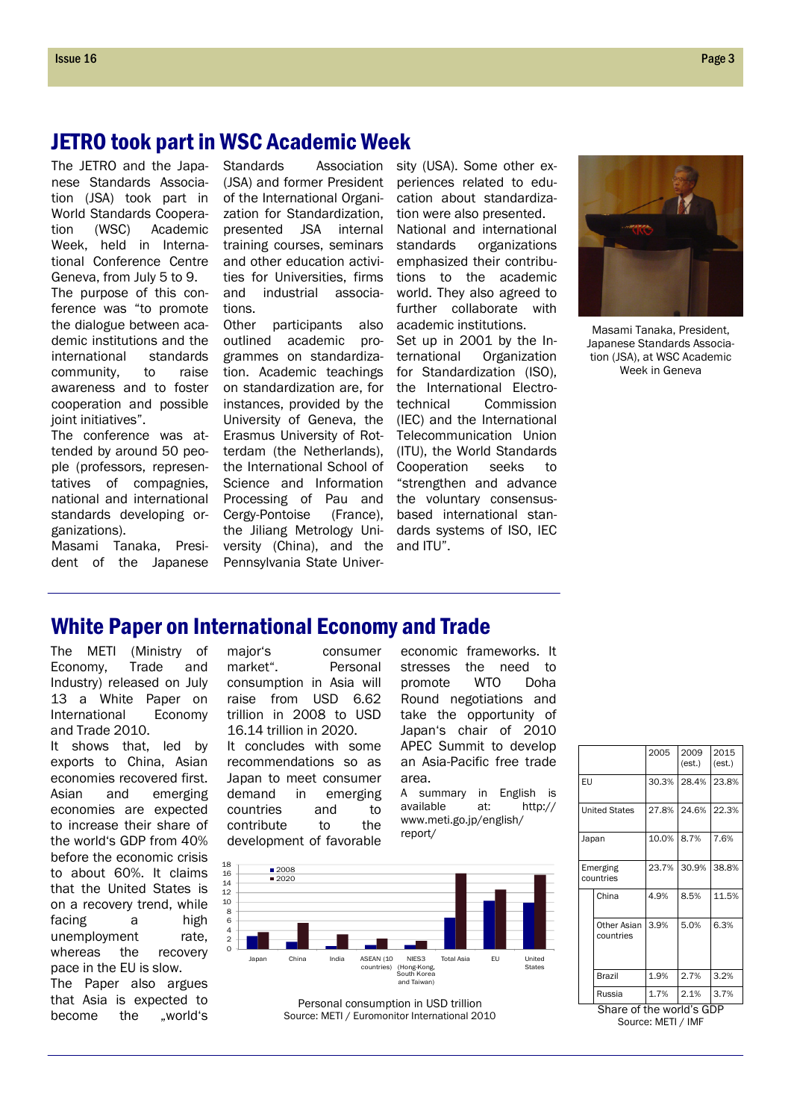### JETRO took part in WSC Academic Week

The JETRO and the Japanese Standards Association (JSA) took part in World Standards Cooperation (WSC) Academic Week, held in International Conference Centre Geneva, from July 5 to 9. The purpose of this conference was "to promote the dialogue between academic institutions and the international standards community, to raise awareness and to foster cooperation and possible ioint initiatives".

The conference was attended by around 50 people (professors, representatives of compagnies, national and international standards developing organizations).

Masami Tanaka, President of the Japanese

Standards Association sity (USA). Some other ex-(JSA) and former President of the International Organization for Standardization, presented JSA internal training courses, seminars and other education activities for Universities, firms and industrial associations.

Other participants also outlined academic programmes on standardization. Academic teachings on standardization are, for instances, provided by the University of Geneva, the Erasmus University of Rotterdam (the Netherlands), the International School of Science and Information Processing of Pau and Cergy-Pontoise (France), the Jiliang Metrology University (China), and the Pennsylvania State Univerperiences related to education about standardization were also presented. National and international standards organizations emphasized their contributions to the academic world. They also agreed to further collaborate with academic institutions.

Set up in 2001 by the International Organization for Standardization (ISO), the International Electrotechnical Commission (IEC) and the International Telecommunication Union (ITU), the World Standards Cooperation seeks to "strengthen and advance the voluntary consensusbased international standards systems of ISO, IEC and ITU".



Masami Tanaka, President, Japanese Standards Association (JSA), at WSC Academic Week in Geneva

### White Paper on International Economy and Trade

The METI (Ministry of Economy, Trade and Industry) released on July 13 a White Paper on International Economy and Trade 2010.

It shows that, led by exports to China, Asian economies recovered first. Asian and emerging economies are expected to increase their share of the world's GDP from 40% before the economic crisis to about 60%. It claims that the United States is on a recovery trend, while facing a high unemployment rate, whereas the recovery pace in the EU is slow.

The Paper also argues that Asia is expected to become the .world's major's consumer market". Personal consumption in Asia will raise from USD 6.62 trillion in 2008 to USD 16.14 trillion in 2020.

It concludes with some recommendations so as Japan to meet consumer demand in emerging countries and to contribute to the development of favorable economic frameworks. It stresses the need to promote WTO Doha Round negotiations and take the opportunity of Japan's chair of 2010 APEC Summit to develop an Asia-Pacific free trade area.

A summary in English is available at: http:// www.meti.go.jp/english/ report/





|                          |                          | 2005  | 2009<br>(est.) | 2015<br>(est.) |  |  |
|--------------------------|--------------------------|-------|----------------|----------------|--|--|
| EU                       |                          | 30.3% | 28.4%          | 23.8%          |  |  |
|                          | <b>United States</b>     | 27.8% | 24.6%          | 22.3%          |  |  |
| Japan                    |                          | 10.0% | 8.7%           | 7.6%           |  |  |
|                          | Emerging<br>countries    | 23.7% | 30.9%          | 38.8%          |  |  |
|                          | China                    | 4.9%  | 8.5%           | 11.5%          |  |  |
|                          | Other Asian<br>countries | 3.9%  | 5.0%           | 6.3%           |  |  |
|                          | Brazil                   | 1.9%  | 2.7%           | 3.2%           |  |  |
|                          | Russia                   | 1.7%  | 2.1%           | 3.7%           |  |  |
| Share of the world's GDP |                          |       |                |                |  |  |
|                          | Source: METI / IMF       |       |                |                |  |  |